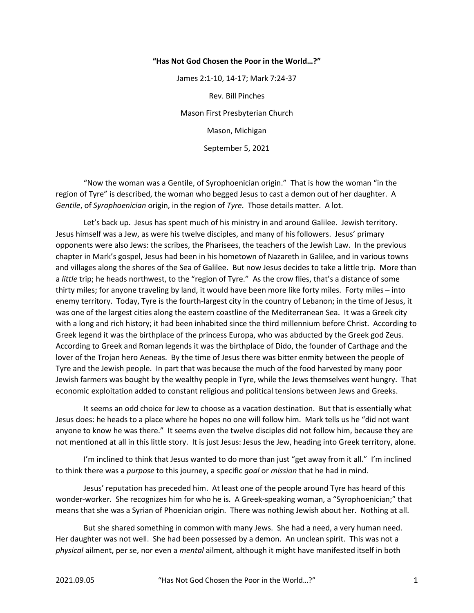## "Has Not God Chosen the Poor in the World…?"

James 2:1-10, 14-17; Mark 7:24-37 Rev. Bill Pinches Mason First Presbyterian Church Mason, Michigan September 5, 2021

 "Now the woman was a Gentile, of Syrophoenician origin." That is how the woman "in the region of Tyre" is described, the woman who begged Jesus to cast a demon out of her daughter. A Gentile, of Syrophoenician origin, in the region of Tyre. Those details matter. A lot.

 Let's back up. Jesus has spent much of his ministry in and around Galilee. Jewish territory. Jesus himself was a Jew, as were his twelve disciples, and many of his followers. Jesus' primary opponents were also Jews: the scribes, the Pharisees, the teachers of the Jewish Law. In the previous chapter in Mark's gospel, Jesus had been in his hometown of Nazareth in Galilee, and in various towns and villages along the shores of the Sea of Galilee. But now Jesus decides to take a little trip. More than a little trip; he heads northwest, to the "region of Tyre." As the crow flies, that's a distance of some thirty miles; for anyone traveling by land, it would have been more like forty miles. Forty miles – into enemy territory. Today, Tyre is the fourth-largest city in the country of Lebanon; in the time of Jesus, it was one of the largest cities along the eastern coastline of the Mediterranean Sea. It was a Greek city with a long and rich history; it had been inhabited since the third millennium before Christ. According to Greek legend it was the birthplace of the princess Europa, who was abducted by the Greek god Zeus. According to Greek and Roman legends it was the birthplace of Dido, the founder of Carthage and the lover of the Trojan hero Aeneas. By the time of Jesus there was bitter enmity between the people of Tyre and the Jewish people. In part that was because the much of the food harvested by many poor Jewish farmers was bought by the wealthy people in Tyre, while the Jews themselves went hungry. That economic exploitation added to constant religious and political tensions between Jews and Greeks.

 It seems an odd choice for Jew to choose as a vacation destination. But that is essentially what Jesus does: he heads to a place where he hopes no one will follow him. Mark tells us he "did not want anyone to know he was there." It seems even the twelve disciples did not follow him, because they are not mentioned at all in this little story. It is just Jesus: Jesus the Jew, heading into Greek territory, alone.

 I'm inclined to think that Jesus wanted to do more than just "get away from it all." I'm inclined to think there was a purpose to this journey, a specific goal or mission that he had in mind.

 Jesus' reputation has preceded him. At least one of the people around Tyre has heard of this wonder-worker. She recognizes him for who he is. A Greek-speaking woman, a "Syrophoenician;" that means that she was a Syrian of Phoenician origin. There was nothing Jewish about her. Nothing at all.

 But she shared something in common with many Jews. She had a need, a very human need. Her daughter was not well. She had been possessed by a demon. An unclean spirit. This was not a physical ailment, per se, nor even a mental ailment, although it might have manifested itself in both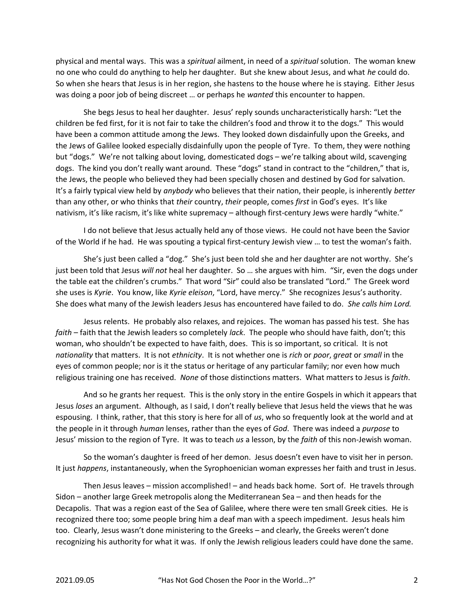physical and mental ways. This was a *spiritual* ailment, in need of a *spiritual* solution. The woman knew no one who could do anything to help her daughter. But she knew about Jesus, and what he could do. So when she hears that Jesus is in her region, she hastens to the house where he is staying. Either Jesus was doing a poor job of being discreet … or perhaps he wanted this encounter to happen.

 She begs Jesus to heal her daughter. Jesus' reply sounds uncharacteristically harsh: "Let the children be fed first, for it is not fair to take the children's food and throw it to the dogs." This would have been a common attitude among the Jews. They looked down disdainfully upon the Greeks, and the Jews of Galilee looked especially disdainfully upon the people of Tyre. To them, they were nothing but "dogs." We're not talking about loving, domesticated dogs – we're talking about wild, scavenging dogs. The kind you don't really want around. These "dogs" stand in contract to the "children," that is, the Jews, the people who believed they had been specially chosen and destined by God for salvation. It's a fairly typical view held by anybody who believes that their nation, their people, is inherently better than any other, or who thinks that their country, their people, comes first in God's eyes. It's like nativism, it's like racism, it's like white supremacy – although first-century Jews were hardly "white."

 I do not believe that Jesus actually held any of those views. He could not have been the Savior of the World if he had. He was spouting a typical first-century Jewish view … to test the woman's faith.

 She's just been called a "dog." She's just been told she and her daughter are not worthy. She's just been told that Jesus will not heal her daughter. So ... she argues with him. "Sir, even the dogs under the table eat the children's crumbs." That word "Sir" could also be translated "Lord." The Greek word she uses is Kyrie. You know, like Kyrie eleison, "Lord, have mercy." She recognizes Jesus's authority. She does what many of the Jewish leaders Jesus has encountered have failed to do. She calls him Lord.

 Jesus relents. He probably also relaxes, and rejoices. The woman has passed his test. She has faith – faith that the Jewish leaders so completely lack. The people who should have faith, don't; this woman, who shouldn't be expected to have faith, does. This is so important, so critical. It is not nationality that matters. It is not ethnicity. It is not whether one is rich or poor, great or small in the eyes of common people; nor is it the status or heritage of any particular family; nor even how much religious training one has received. None of those distinctions matters. What matters to Jesus is faith.

 And so he grants her request. This is the only story in the entire Gospels in which it appears that Jesus loses an argument. Although, as I said, I don't really believe that Jesus held the views that he was espousing. I think, rather, that this story is here for all of us, who so frequently look at the world and at the people in it through human lenses, rather than the eyes of God. There was indeed a purpose to Jesus' mission to the region of Tyre. It was to teach us a lesson, by the faith of this non-Jewish woman.

 So the woman's daughter is freed of her demon. Jesus doesn't even have to visit her in person. It just happens, instantaneously, when the Syrophoenician woman expresses her faith and trust in Jesus.

 Then Jesus leaves – mission accomplished! – and heads back home. Sort of. He travels through Sidon – another large Greek metropolis along the Mediterranean Sea – and then heads for the Decapolis. That was a region east of the Sea of Galilee, where there were ten small Greek cities. He is recognized there too; some people bring him a deaf man with a speech impediment. Jesus heals him too. Clearly, Jesus wasn't done ministering to the Greeks – and clearly, the Greeks weren't done recognizing his authority for what it was. If only the Jewish religious leaders could have done the same.